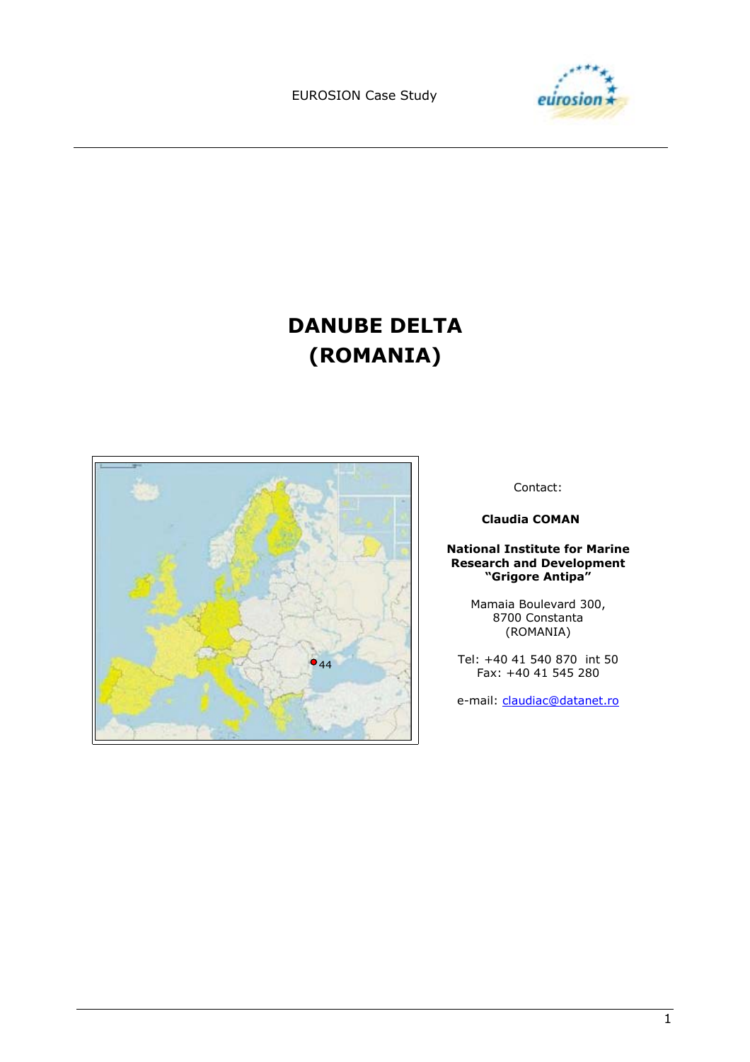EUROSION Case Study



# **DANUBE DELTA (ROMANIA)**



Contact:

 **Claudia COMAN** 

#### **National Institute for Marine Research and Development ìGrigore Antipaî**

Mamaia Boulevard 300, 8700 Constanta (ROMANIA)

Tel: +40 41 540 870 int 50 Fax: +40 41 545 280

e-mail: claudiac@datanet.ro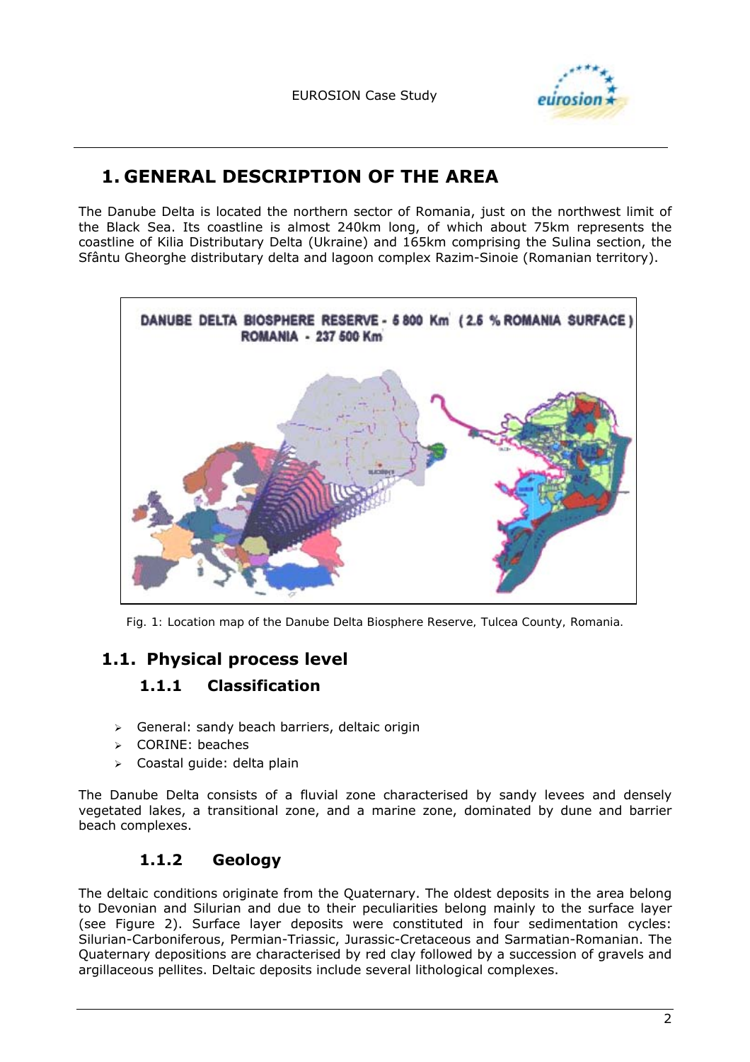

# **1. GENERAL DESCRIPTION OF THE AREA**

The Danube Delta is located the northern sector of Romania, just on the northwest limit of the Black Sea. Its coastline is almost 240km long, of which about 75km represents the coastline of Kilia Distributary Delta (Ukraine) and 165km comprising the Sulina section, the Sfântu Gheorghe distributary delta and lagoon complex Razim-Sinoie (Romanian territory).



*Fig. 1: Location map of the Danube Delta Biosphere Reserve, Tulcea County, Romania.* 

# **1.1. Physical process level**

### **1.1.1 Classification**

- $\triangleright$  General: sandy beach barriers, deltaic origin
- > CORINE: beaches
- > Coastal guide: delta plain

The Danube Delta consists of a fluvial zone characterised by sandy levees and densely vegetated lakes, a transitional zone, and a marine zone, dominated by dune and barrier beach complexes.

### **1.1.2 Geology**

The deltaic conditions originate from the Quaternary. The oldest deposits in the area belong to Devonian and Silurian and due to their peculiarities belong mainly to the surface layer (see Figure 2). Surface layer deposits were constituted in four sedimentation cycles: Silurian-Carboniferous, Permian-Triassic, Jurassic-Cretaceous and Sarmatian-Romanian. The Quaternary depositions are characterised by red clay followed by a succession of gravels and argillaceous pellites. Deltaic deposits include several lithological complexes.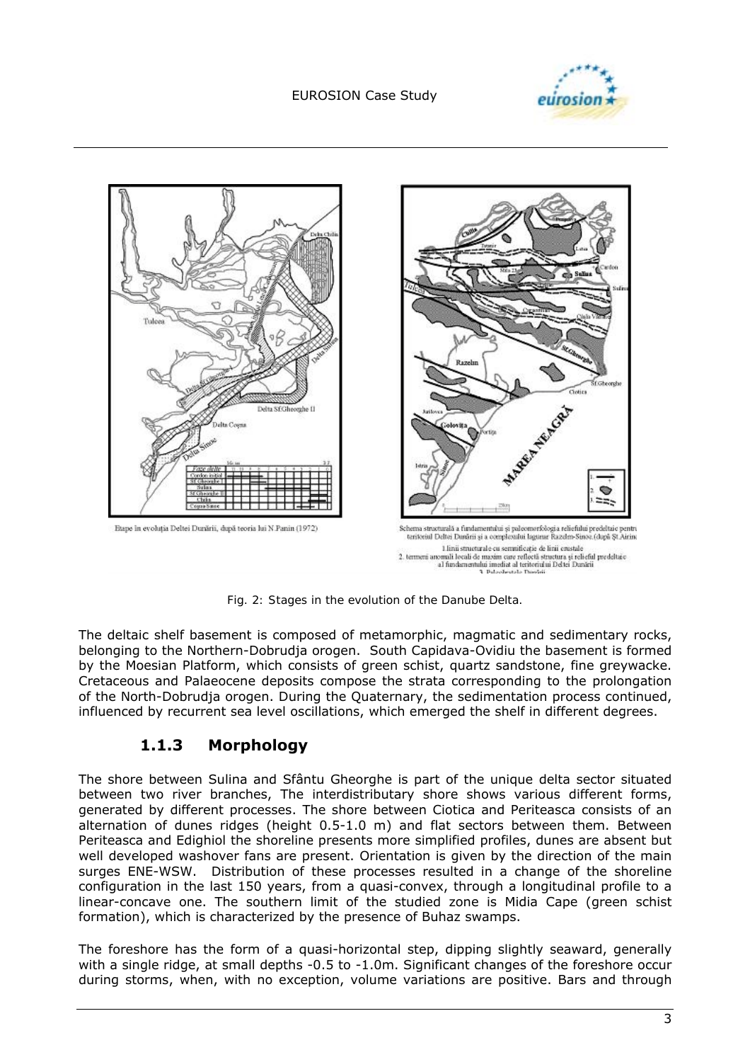



*Fig. 2: Stages in the evolution of the Danube Delta.* 

The deltaic shelf basement is composed of metamorphic, magmatic and sedimentary rocks, belonging to the Northern-Dobrudja orogen. South Capidava-Ovidiu the basement is formed by the Moesian Platform, which consists of green schist, quartz sandstone, fine greywacke. Cretaceous and Palaeocene deposits compose the strata corresponding to the prolongation of the North-Dobrudja orogen. During the Quaternary, the sedimentation process continued, influenced by recurrent sea level oscillations, which emerged the shelf in different degrees.

### **1.1.3 Morphology**

The shore between Sulina and Sfântu Gheorghe is part of the unique delta sector situated between two river branches, The interdistributary shore shows various different forms, generated by different processes. The shore between Ciotica and Periteasca consists of an alternation of dunes ridges (height 0.5-1.0 m) and flat sectors between them. Between Periteasca and Edighiol the shoreline presents more simplified profiles, dunes are absent but well developed washover fans are present. Orientation is given by the direction of the main surges ENE-WSW. Distribution of these processes resulted in a change of the shoreline configuration in the last 150 years, from a quasi-convex, through a longitudinal profile to a linear-concave one. The southern limit of the studied zone is Midia Cape (green schist formation), which is characterized by the presence of Buhaz swamps.

The foreshore has the form of a quasi-horizontal step, dipping slightly seaward, generally with a single ridge, at small depths -0.5 to -1.0m. Significant changes of the foreshore occur during storms, when, with no exception, volume variations are positive. Bars and through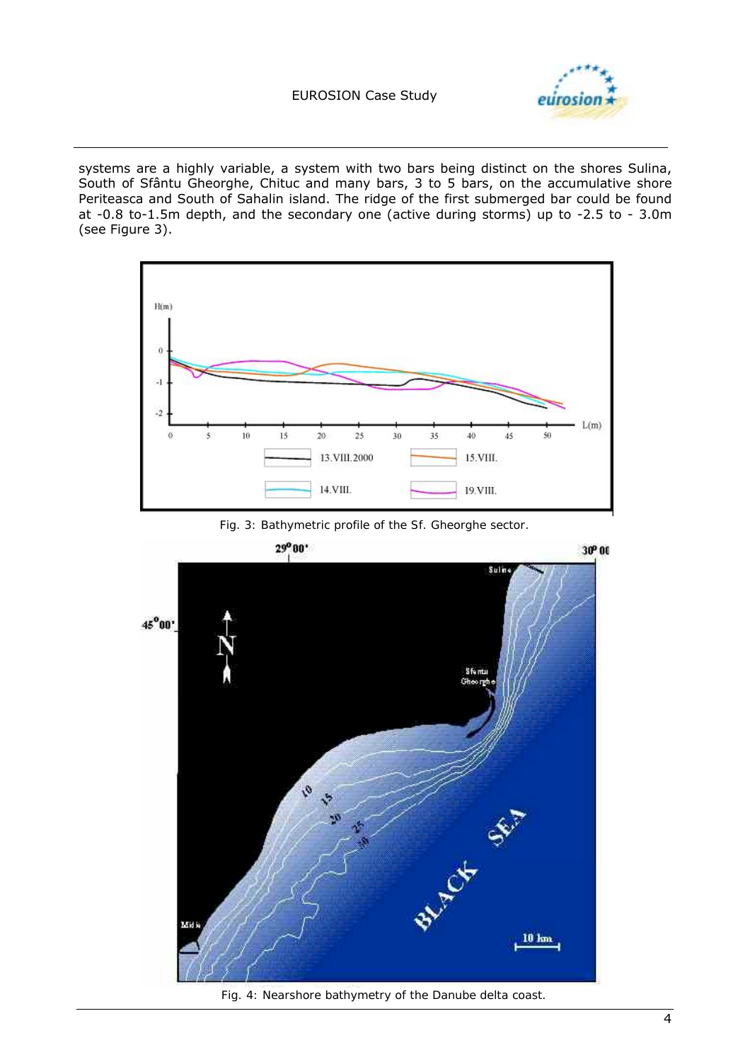

systems are a highly variable, a system with two bars being distinct on the shores Sulina, South of Sfântu Gheorghe, Chituc and many bars, 3 to 5 bars, on the accumulative shore Periteasca and South of Sahalin island. The ridge of the first submerged bar could be found at -0.8 to-1.5m depth, and the secondary one (active during storms) up to -2.5 to - 3.0m (see Figure 3).







*Fig. 4: Nearshore bathymetry of the Danube delta coast.*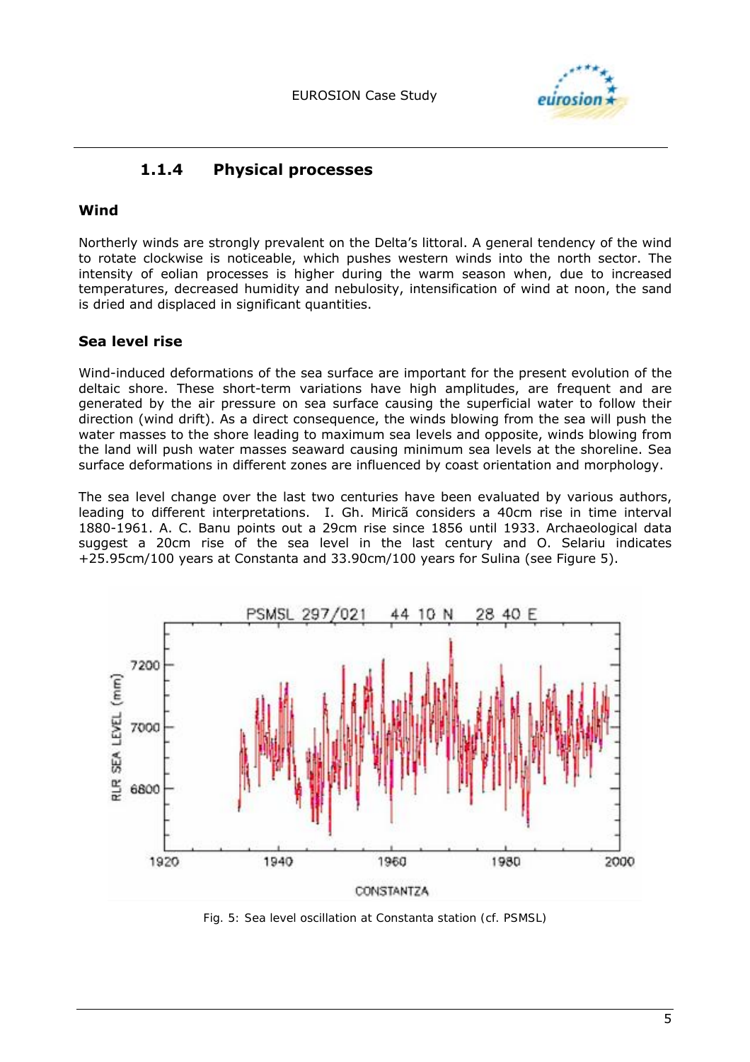

### **1.1.4 Physical processes**

#### **Wind**

Northerly winds are strongly prevalent on the Deltaís littoral. A general tendency of the wind to rotate clockwise is noticeable, which pushes western winds into the north sector. The intensity of eolian processes is higher during the warm season when, due to increased temperatures, decreased humidity and nebulosity, intensification of wind at noon, the sand is dried and displaced in significant quantities.

#### **Sea level rise**

Wind-induced deformations of the sea surface are important for the present evolution of the deltaic shore. These short-term variations have high amplitudes, are frequent and are generated by the air pressure on sea surface causing the superficial water to follow their direction (wind drift). As a direct consequence, the winds blowing from the sea will push the water masses to the shore leading to maximum sea levels and opposite, winds blowing from the land will push water masses seaward causing minimum sea levels at the shoreline. Sea surface deformations in different zones are influenced by coast orientation and morphology.

The sea level change over the last two centuries have been evaluated by various authors, leading to different interpretations. I. Gh. Mirica considers a 40cm rise in time interval 1880-1961. A. C. Banu points out a 29cm rise since 1856 until 1933. Archaeological data suggest a 20cm rise of the sea level in the last century and O. Selariu indicates +25.95cm/100 years at Constanta and 33.90cm/100 years for Sulina (see Figure 5).



*Fig. 5: Sea level oscillation at Constanta station (cf. PSMSL)*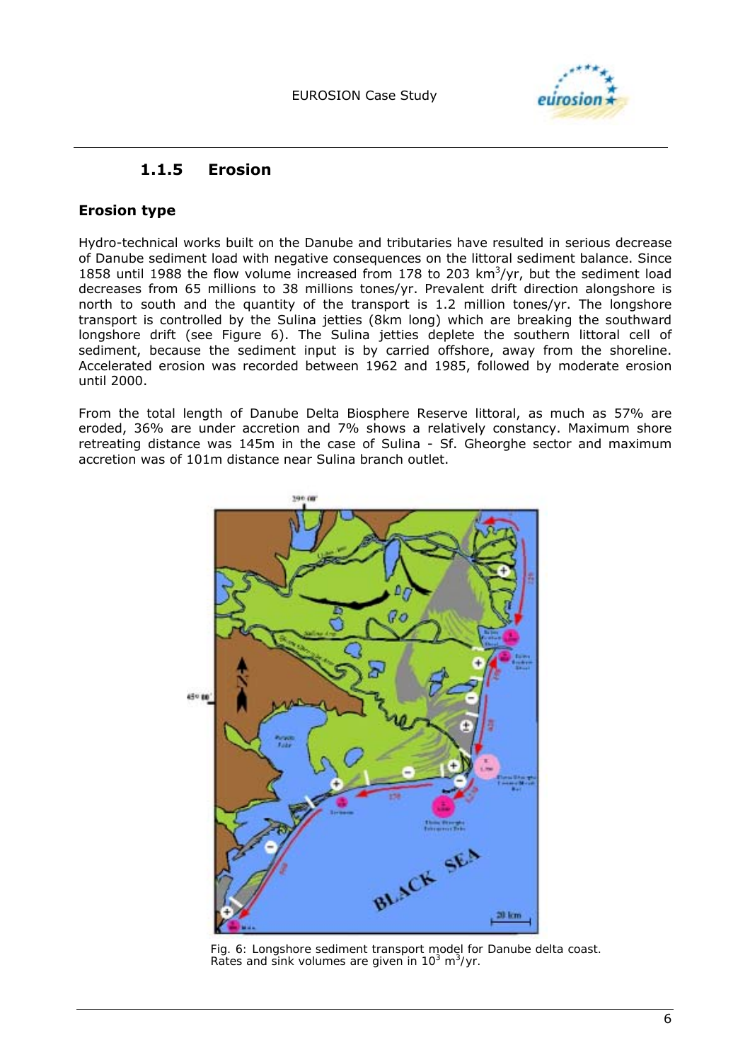

### **1.1.5 Erosion**

#### **Erosion type**

Hydro-technical works built on the Danube and tributaries have resulted in serious decrease of Danube sediment load with negative consequences on the littoral sediment balance. Since 1858 until 1988 the flow volume increased from 178 to 203  $km^3$ /yr, but the sediment load decreases from 65 millions to 38 millions tones/yr. Prevalent drift direction alongshore is north to south and the quantity of the transport is 1.2 million tones/yr. The longshore transport is controlled by the Sulina jetties (8km long) which are breaking the southward longshore drift (see Figure 6). The Sulina jetties deplete the southern littoral cell of sediment, because the sediment input is by carried offshore, away from the shoreline. Accelerated erosion was recorded between 1962 and 1985, followed by moderate erosion until 2000.

From the total length of Danube Delta Biosphere Reserve littoral, as much as 57% are eroded, 36% are under accretion and 7% shows a relatively constancy. Maximum shore retreating distance was 145m in the case of Sulina - Sf. Gheorghe sector and maximum accretion was of 101m distance near Sulina branch outlet.



*Fig. 6: Longshore sediment transport model for Danube delta coast. Rates and sink volumes are given in 103 m3 /yr.*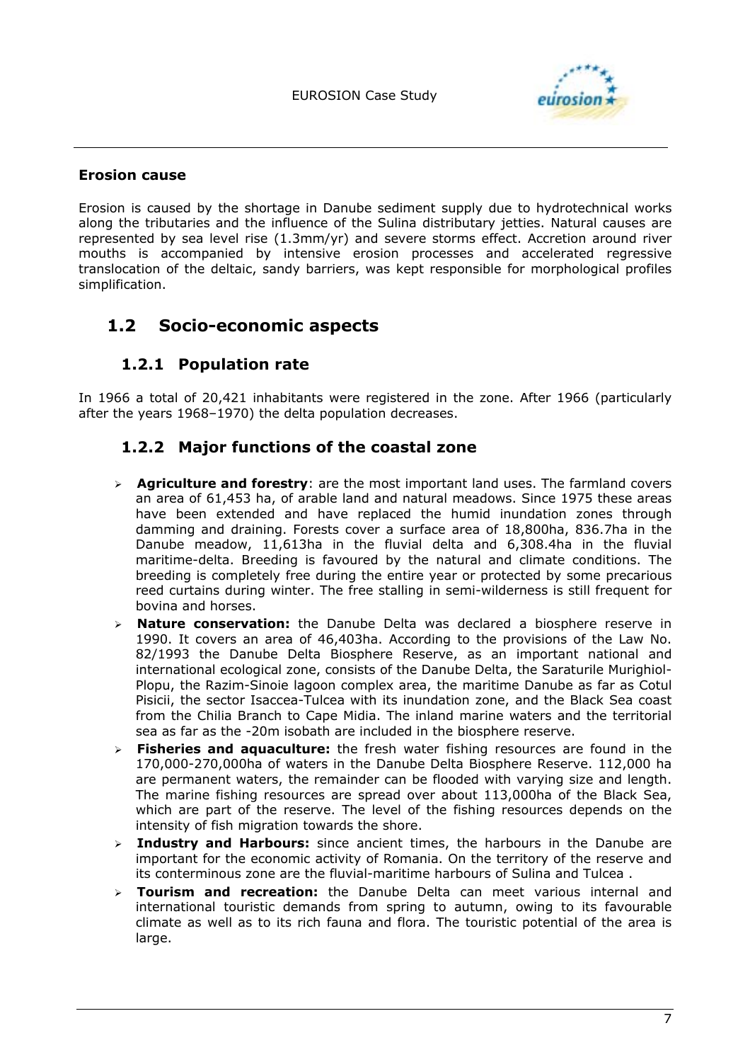

#### **Erosion cause**

Erosion is caused by the shortage in Danube sediment supply due to hydrotechnical works along the tributaries and the influence of the Sulina distributary jetties. Natural causes are represented by sea level rise (1.3mm/yr) and severe storms effect. Accretion around river mouths is accompanied by intensive erosion processes and accelerated regressive translocation of the deltaic, sandy barriers, was kept responsible for morphological profiles simplification.

## **1.2 Socio-economic aspects**

### **1.2.1 Population rate**

In 1966 a total of 20,421 inhabitants were registered in the zone. After 1966 (particularly after the years 1968–1970) the delta population decreases.

### **1.2.2 Major functions of the coastal zone**

- ! **Agriculture and forestry**: are the most important land uses. The farmland covers an area of 61,453 ha, of arable land and natural meadows. Since 1975 these areas have been extended and have replaced the humid inundation zones through damming and draining. Forests cover a surface area of 18,800ha, 836.7ha in the Danube meadow, 11,613ha in the fluvial delta and 6,308.4ha in the fluvial maritime-delta. *Breeding* is favoured by the natural and climate conditions. The breeding is completely free during the entire year or protected by some precarious reed curtains during winter. The free stalling in semi-wilderness is still frequent for bovina and horses.
- ! **Nature conservation:** the Danube Delta was declared a *biosphere reserve* in 1990. It covers an area of 46,403ha. According to the provisions of the Law No. 82/1993 the Danube Delta Biosphere Reserve, as an important national and international ecological zone, consists of the Danube Delta, the Saraturile Murighiol-Plopu, the Razim-Sinoie lagoon complex area, the maritime Danube as far as Cotul Pisicii, the sector Isaccea-Tulcea with its inundation zone, and the Black Sea coast from the Chilia Branch to Cape Midia. The inland marine waters and the territorial sea as far as the -20m isobath are included in the biosphere reserve.
- ! **Fisheries and aquaculture:** the *fresh water fishing resources* are found in the 170,000-270,000ha of waters in the Danube Delta Biosphere Reserve. 112,000 ha are permanent waters, the remainder can be flooded with varying size and length. The *marine fishing resources* are spread over about 113,000ha of the Black Sea, which are part of the reserve. The level of the fishing resources depends on the intensity of fish migration towards the shore.
- ! **Industry and Harbours:** since ancient times, the harbours in the Danube are important for the economic activity of Romania. On the territory of the reserve and its conterminous zone are the fluvial-maritime harbours of Sulina and Tulcea .
- **Tourism and recreation:** the Danube Delta can meet various internal and international touristic demands from spring to autumn, owing to its favourable climate as well as to its rich fauna and flora. The touristic potential of the area is large.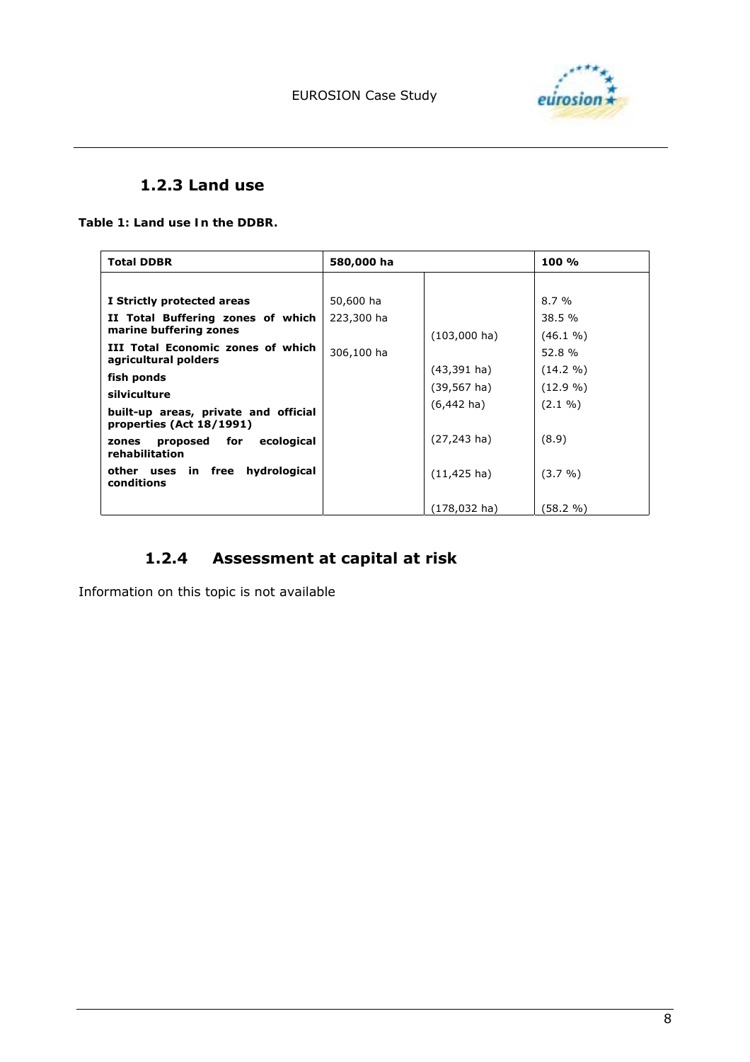

### **1.2.3 Land use**

*Table 1: Land use In the DDBR.* 

| <b>Total DDBR</b>                                                | 580,000 ha |                        | 100 %       |
|------------------------------------------------------------------|------------|------------------------|-------------|
|                                                                  |            |                        |             |
| I Strictly protected areas                                       | 50,600 ha  |                        | $8.7\%$     |
| II Total Buffering zones of which                                | 223,300 ha |                        | 38.5 %      |
| marine buffering zones                                           |            | $(103,000 \text{ ha})$ | $(46.1\% )$ |
| III Total Economic zones of which<br>agricultural polders        | 306,100 ha |                        | 52.8%       |
| fish ponds                                                       |            | $(43,391 \text{ ha})$  | $(14.2\% )$ |
| silviculture                                                     |            | $(39, 567 \text{ ha})$ | $(12.9\% )$ |
| built-up areas, private and official<br>properties (Act 18/1991) |            | $(6,442 \text{ ha})$   | $(2.1\% )$  |
| proposed for ecological<br>zones<br>rehabilitation               |            | $(27, 243$ ha)         | (8.9)       |
| other uses in free hydrological<br>conditions                    |            | $(11, 425 \text{ ha})$ | $(3.7\% )$  |
|                                                                  |            | $(178, 032$ ha)        | (58.2 %)    |

## **1.2.4 Assessment at capital at risk**

Information on this topic is not available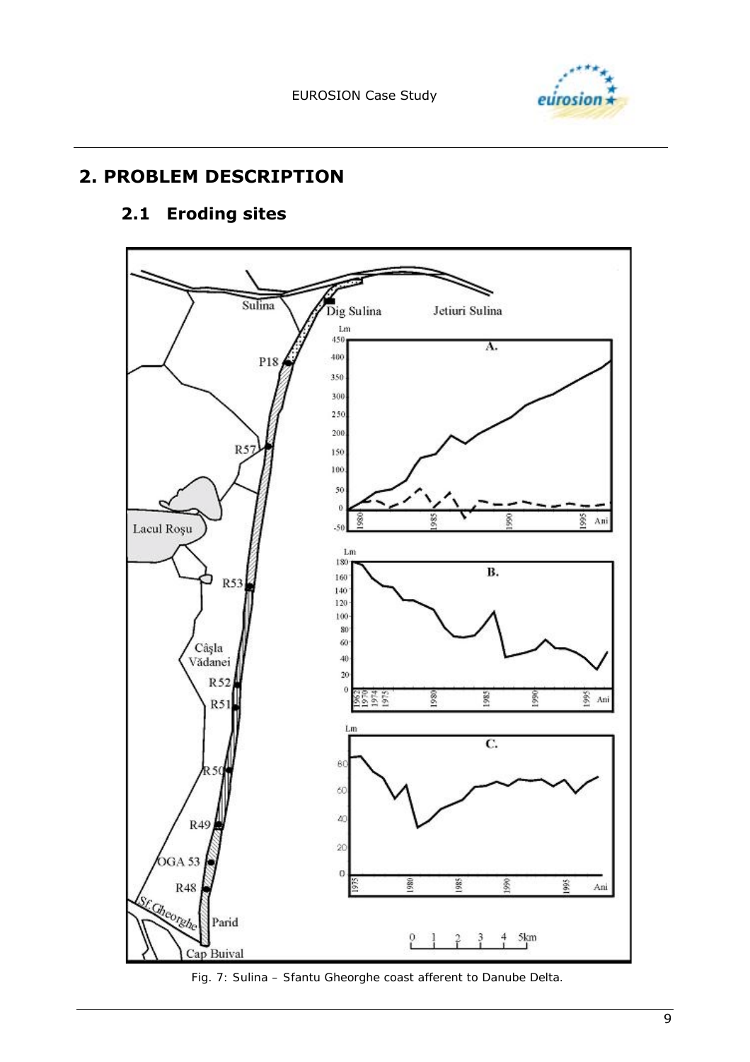

# **2. PROBLEM DESCRIPTION**

# **2.1 Eroding sites**



*Fig. 7: Sulina – Sfantu Gheorghe coast afferent to Danube Delta.*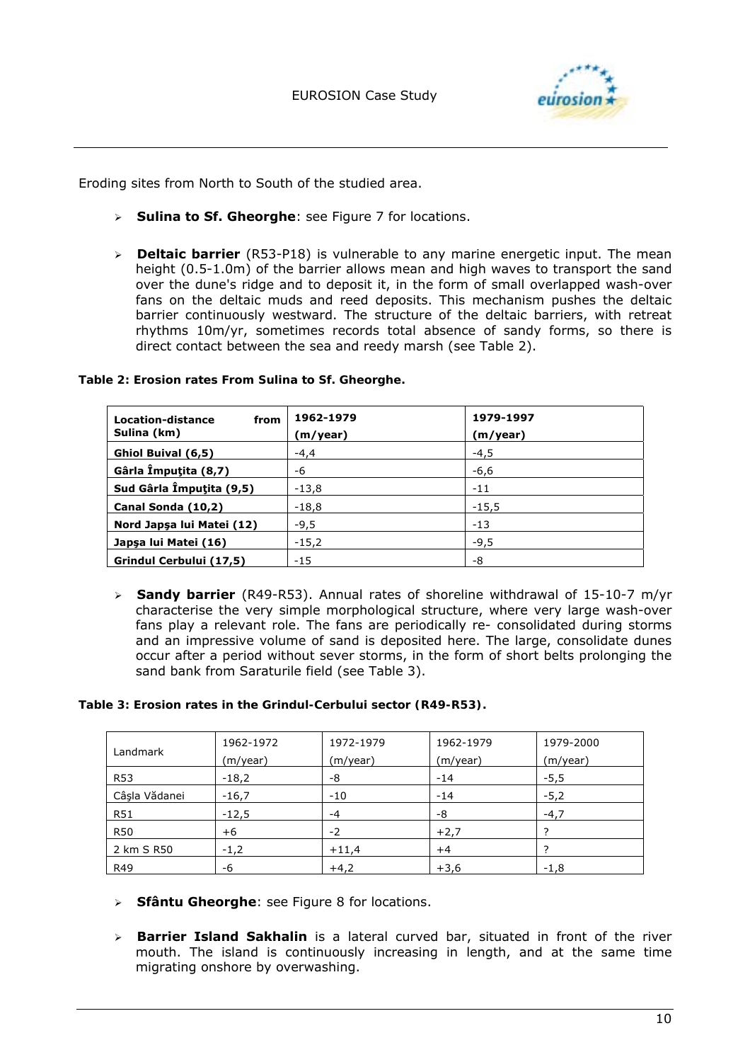

Eroding sites from North to South of the studied area.

- ! **Sulina to Sf. Gheorghe**: see Figure 7 for locations.
- ! **Deltaic barrier** (R53-P18) is vulnerable to any marine energetic input. The mean height (0.5-1.0m) of the barrier allows mean and high waves to transport the sand over the dune's ridge and to deposit it, in the form of small overlapped wash-over fans on the deltaic muds and reed deposits. This mechanism pushes the deltaic barrier continuously westward. The structure of the deltaic barriers, with retreat rhythms 10m/yr, sometimes records total absence of sandy forms, so there is direct contact between the sea and reedy marsh (see Table 2).

| Location-distance<br>from<br>Sulina (km) | 1962-1979<br>(m/year) | 1979-1997<br>(m/year) |
|------------------------------------------|-----------------------|-----------------------|
| Ghiol Buival (6,5)                       | $-4,4$                | $-4,5$                |
| Gârla Împuțita (8,7)                     | -6                    | $-6,6$                |
| Sud Gârla Împuțita (9,5)                 | $-13,8$               | $-11$                 |
| Canal Sonda (10,2)                       | $-18,8$               | $-15,5$               |
| Nord Japşa lui Matei (12)                | $-9,5$                | $-13$                 |
| Japşa lui Matei (16)                     | $-15,2$               | $-9,5$                |
| Grindul Cerbului (17,5)                  | $-15$                 | -8                    |

*Table 2: Erosion rates From Sulina to Sf. Gheorghe.* 

! **Sandy barrier** (R49-R53). Annual rates of shoreline withdrawal of 15-10-7 m/yr characterise the very simple morphological structure, where very large wash-over fans play a relevant role. The fans are periodically re- consolidated during storms and an impressive volume of sand is deposited here. The large, consolidate dunes occur after a period without sever storms, in the form of short belts prolonging the sand bank from Saraturile field (see Table 3).

| Landmark      | 1962-1972<br>(m/year) | 1972-1979<br>(m/year) | 1962-1979<br>(m/year) | 1979-2000<br>(m/year) |
|---------------|-----------------------|-----------------------|-----------------------|-----------------------|
| <b>R53</b>    | $-18,2$               | -8                    | $-14$                 | $-5,5$                |
| Câsla Vădanei | $-16,7$               | $-10$                 | $-14$                 | $-5,2$                |
| <b>R51</b>    | $-12,5$               | $-4$                  | -8                    | $-4,7$                |
| <b>R50</b>    | $+6$                  | $-2$                  | $+2,7$                |                       |
| 2 km S R50    | $-1,2$                | $+11,4$               | $+4$                  |                       |
| R49           | -6                    | $+4,2$                | $+3,6$                | $-1,8$                |

- > **Sfântu Gheorghe**: see Figure 8 for locations.
- ! **Barrier Island Sakhalin** is a lateral curved bar, situated in front of the river mouth. The island is continuously increasing in length, and at the same time migrating onshore by overwashing.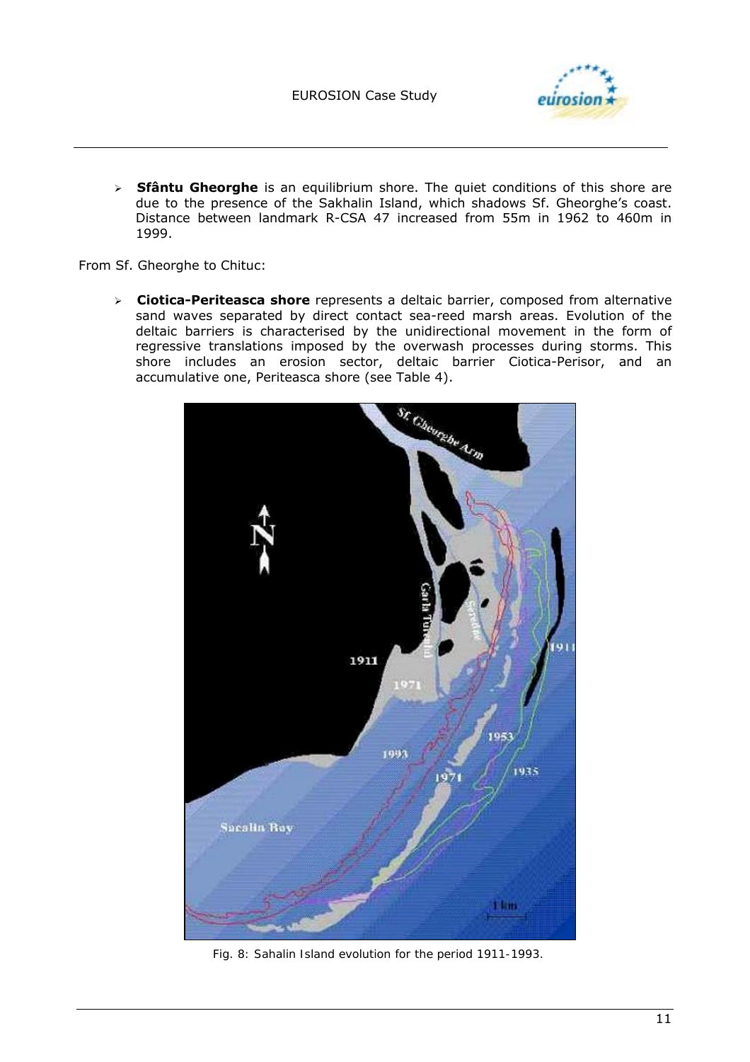

> **Sfântu Gheorghe** is an equilibrium shore. The quiet conditions of this shore are due to the presence of the Sakhalin Island, which shadows Sf. Gheorghe's coast. Distance between landmark R-CSA 47 increased from 55m in 1962 to 460m in 1999.

From Sf. Gheorghe to Chituc:

! **Ciotica-Periteasca shore** represents a deltaic barrier, composed from alternative sand waves separated by direct contact sea-reed marsh areas. Evolution of the deltaic barriers is characterised by the unidirectional movement in the form of regressive translations imposed by the overwash processes during storms. This shore includes an erosion sector, deltaic barrier Ciotica-Perisor, and an accumulative one, Periteasca shore (see Table 4).



*Fig. 8: Sahalin Island evolution for the period 1911-1993.*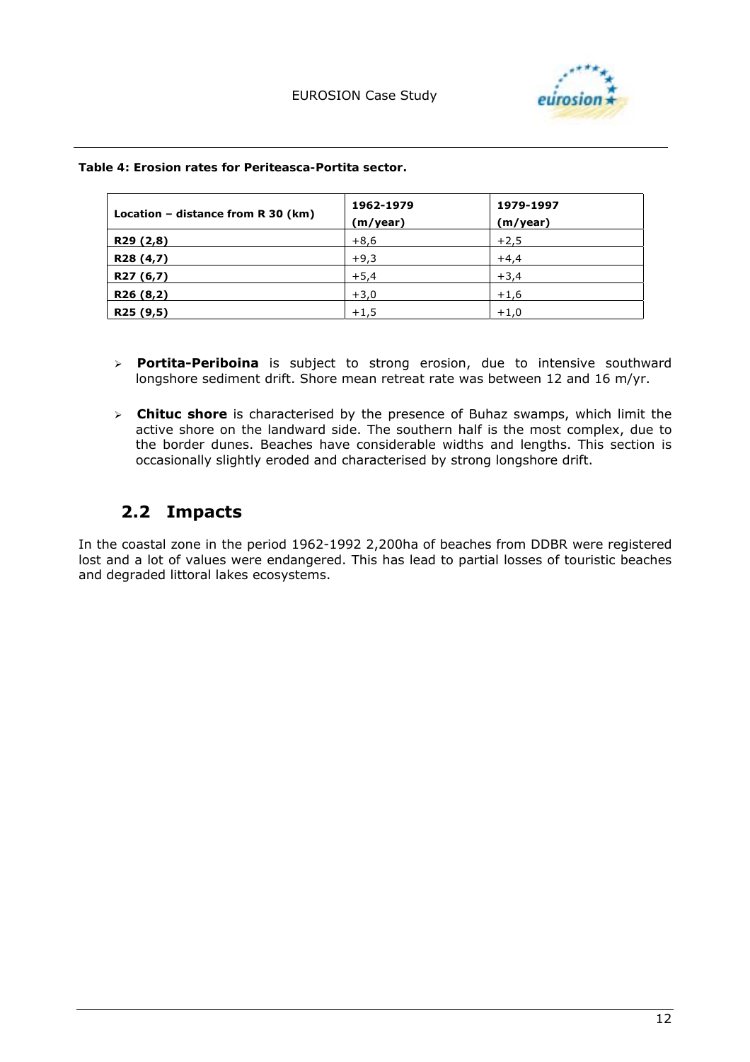

| Location – distance from $R$ 30 (km) | 1962-1979<br>(m/year) | 1979-1997<br>(m/year) |
|--------------------------------------|-----------------------|-----------------------|
| R29 (2,8)                            | $+8,6$                | $+2,5$                |
| R28 (4,7)                            | $+9,3$                | $+4,4$                |
| R27 (6,7)                            | $+5,4$                | $+3,4$                |
| R26 (8,2)                            | $+3,0$                | $+1,6$                |
| R25 (9,5)                            | $+1,5$                | $+1,0$                |

*Table 4: Erosion rates for Periteasca-Portita sector.* 

- ! **Portita-Periboina** is subject to strong erosion, due to intensive southward longshore sediment drift. Shore mean retreat rate was between 12 and 16 m/yr.
- ! **Chituc shore** is characterised by the presence of Buhaz swamps, which limit the active shore on the landward side. The southern half is the most complex, due to the border dunes. Beaches have considerable widths and lengths. This section is occasionally slightly eroded and characterised by strong longshore drift.

# **2.2 Impacts**

In the coastal zone in the period 1962-1992 2,200ha of beaches from DDBR were registered lost and a lot of values were endangered. This has lead to partial losses of touristic beaches and degraded littoral lakes ecosystems.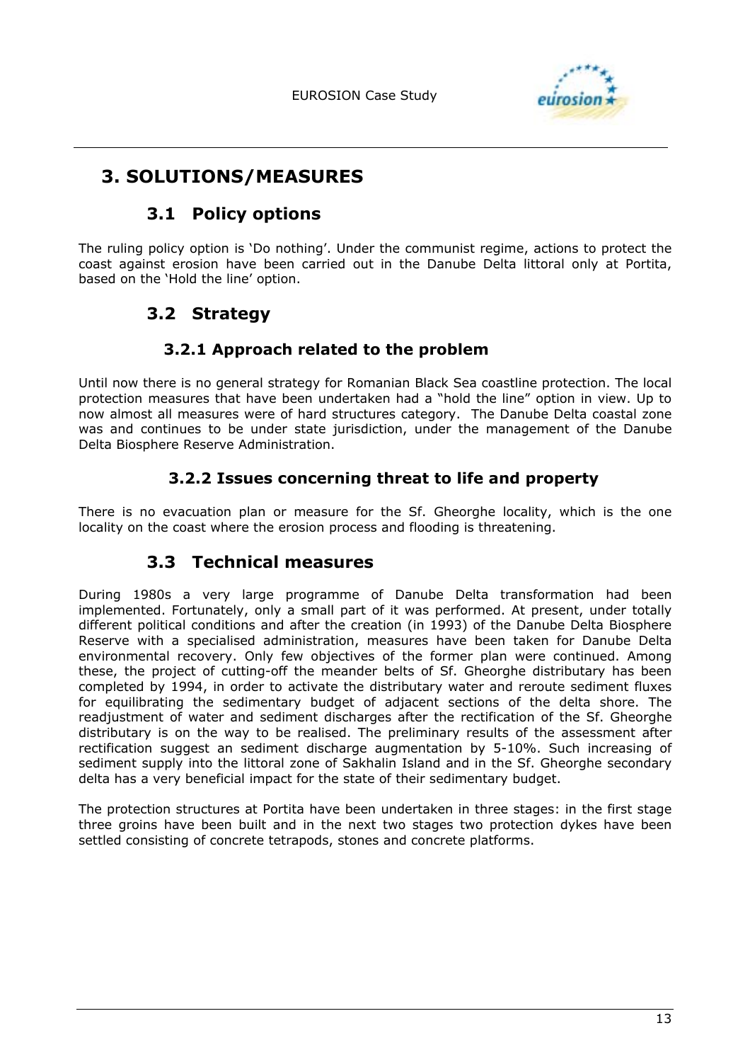

# **3. SOLUTIONS/MEASURES**

## **3.1 Policy options**

The ruling policy option is 'Do nothing'. Under the communist regime, actions to protect the coast against erosion have been carried out in the Danube Delta littoral only at Portita, based on the 'Hold the line' option.

# **3.2 Strategy**

### **3.2.1 Approach related to the problem**

Until now there is no general strategy for Romanian Black Sea coastline protection. The local protection measures that have been undertaken had a "hold the line" option in view. Up to now almost all measures were of hard structures category. The Danube Delta coastal zone was and continues to be under state jurisdiction, under the management of the Danube Delta Biosphere Reserve Administration.

### **3.2.2 Issues concerning threat to life and property**

There is no evacuation plan or measure for the Sf. Gheorghe locality, which is the one locality on the coast where the erosion process and flooding is threatening.

# **3.3 Technical measures**

During 1980s a very large programme of Danube Delta transformation had been implemented. Fortunately, only a small part of it was performed. At present, under totally different political conditions and after the creation (in 1993) of the Danube Delta Biosphere Reserve with a specialised administration, measures have been taken for Danube Delta environmental recovery. Only few objectives of the former plan were continued. Among these, the project of cutting-off the meander belts of Sf. Gheorghe distributary has been completed by 1994, in order to activate the distributary water and reroute sediment fluxes for equilibrating the sedimentary budget of adjacent sections of the delta shore. The readjustment of water and sediment discharges after the rectification of the Sf. Gheorghe distributary is on the way to be realised. The preliminary results of the assessment after rectification suggest an sediment discharge augmentation by 5-10%. Such increasing of sediment supply into the littoral zone of Sakhalin Island and in the Sf. Gheorghe secondary delta has a very beneficial impact for the state of their sedimentary budget.

The protection structures at Portita have been undertaken in three stages: in the first stage three groins have been built and in the next two stages two protection dykes have been settled consisting of concrete tetrapods, stones and concrete platforms.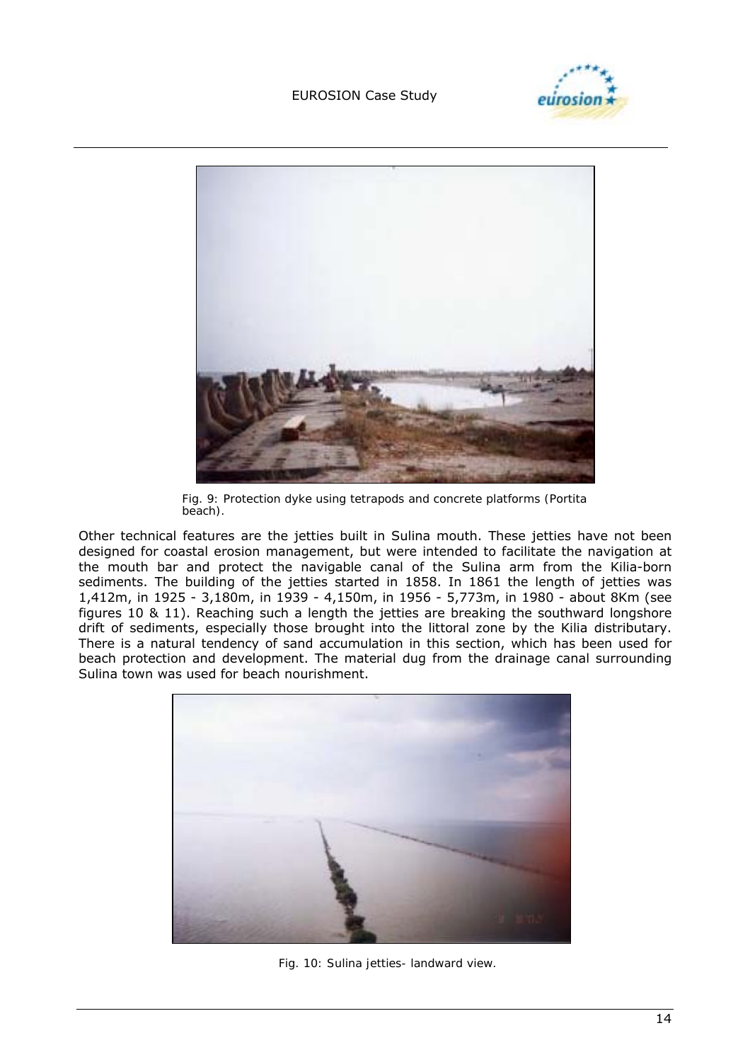#### EUROSION Case Study





*Fig. 9: Protection dyke using tetrapods and concrete platforms (Portita beach).* 

Other technical features are the jetties built in Sulina mouth. These jetties have not been designed for coastal erosion management, but were intended to facilitate the navigation at the mouth bar and protect the navigable canal of the Sulina arm from the Kilia-born sediments. The building of the jetties started in 1858. In 1861 the length of jetties was 1,412m, in 1925 - 3,180m, in 1939 - 4,150m, in 1956 - 5,773m, in 1980 - about 8Km (see figures 10 & 11). Reaching such a length the jetties are breaking the southward longshore drift of sediments, especially those brought into the littoral zone by the Kilia distributary. There is a natural tendency of sand accumulation in this section, which has been used for beach protection and development. The material dug from the drainage canal surrounding Sulina town was used for beach nourishment.



*Fig. 10: Sulina jetties- landward view.*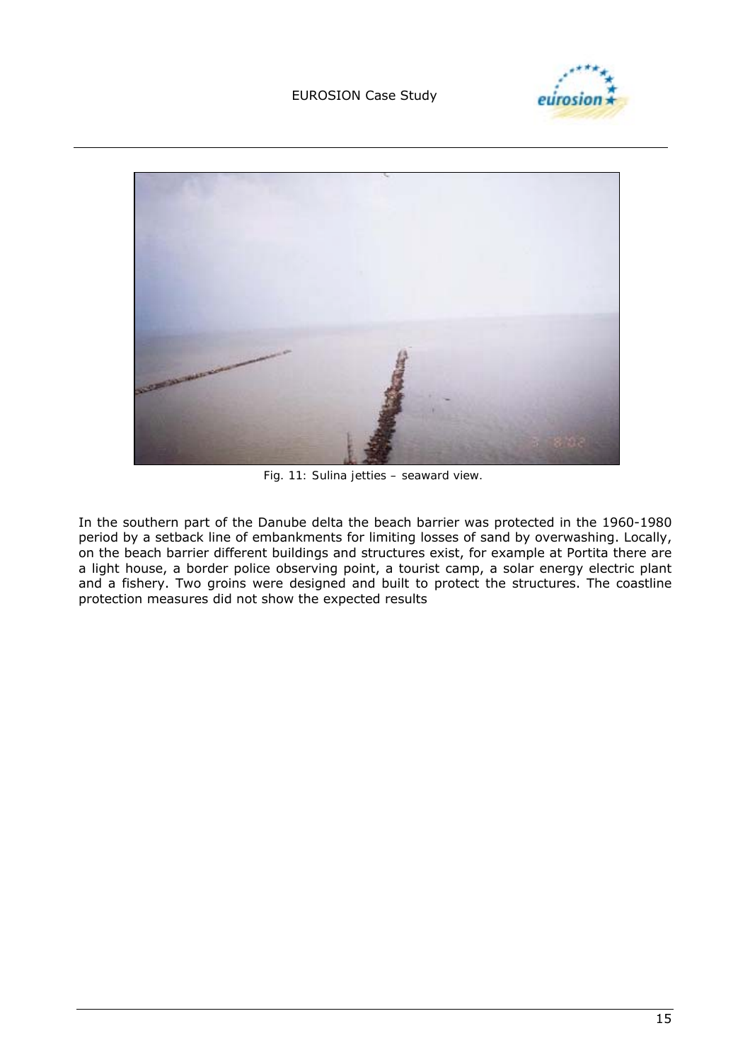#### EUROSION Case Study





*Fig. 11: Sulina jetties – seaward view.* 

In the southern part of the Danube delta the beach barrier was protected in the 1960-1980 period by a setback line of embankments for limiting losses of sand by overwashing. Locally, on the beach barrier different buildings and structures exist, for example at Portita there are a light house, a border police observing point, a tourist camp, a solar energy electric plant and a fishery. Two groins were designed and built to protect the structures. The coastline protection measures did not show the expected results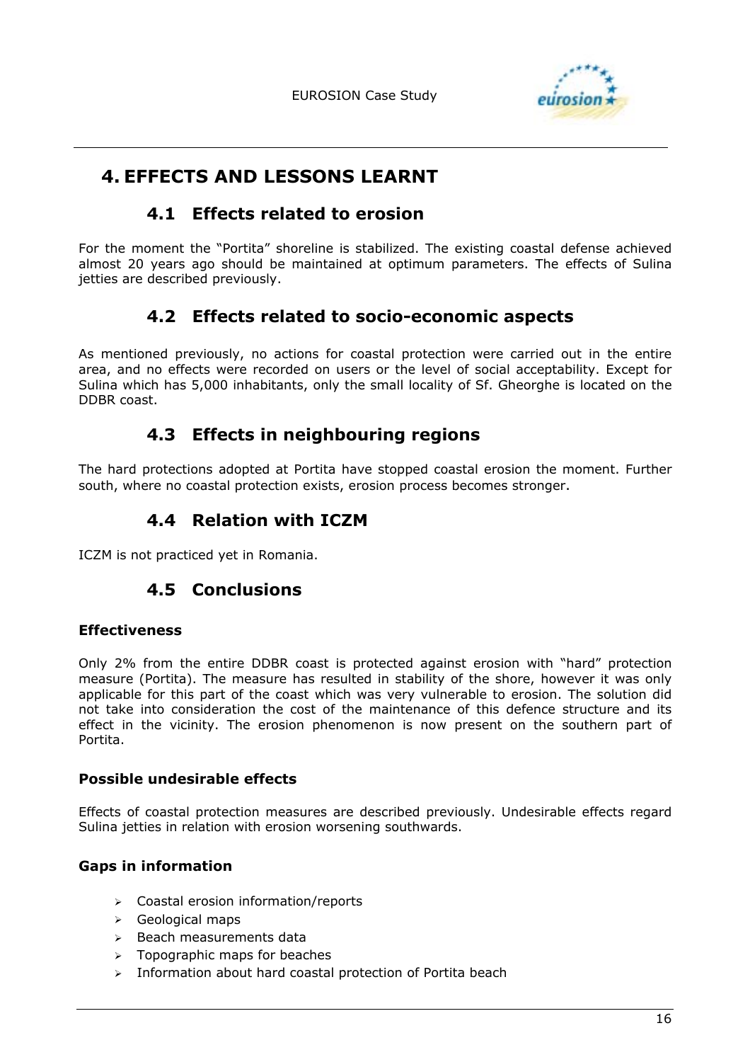

# **4. EFFECTS AND LESSONS LEARNT**

### **4.1 Effects related to erosion**

For the moment the "Portita" shoreline is stabilized. The existing coastal defense achieved almost 20 years ago should be maintained at optimum parameters. The effects of Sulina jetties are described previously.

# **4.2 Effects related to socio-economic aspects**

As mentioned previously, no actions for coastal protection were carried out in the entire area, and no effects were recorded on users or the level of social acceptability. Except for Sulina which has 5,000 inhabitants, only the small locality of Sf. Gheorghe is located on the DDBR coast.

# **4.3 Effects in neighbouring regions**

The hard protections adopted at Portita have stopped coastal erosion the moment. Further south, where no coastal protection exists, erosion process becomes stronger.

# **4.4 Relation with ICZM**

ICZM is not practiced yet in Romania.

# **4.5 Conclusions**

#### **Effectiveness**

Only 2% from the entire DDBR coast is protected against erosion with "hard" protection measure (Portita). The measure has resulted in stability of the shore, however it was only applicable for this part of the coast which was very vulnerable to erosion. The solution did not take into consideration the cost of the maintenance of this defence structure and its effect in the vicinity. The erosion phenomenon is now present on the southern part of Portita.

#### **Possible undesirable effects**

Effects of coastal protection measures are described previously. Undesirable effects regard Sulina jetties in relation with erosion worsening southwards.

### **Gaps in information**

- > Coastal erosion information/reports
- $\triangleright$  Geological maps
- $\triangleright$  Beach measurements data
- $\geq$  Topographic maps for beaches
- $\triangleright$  Information about hard coastal protection of Portita beach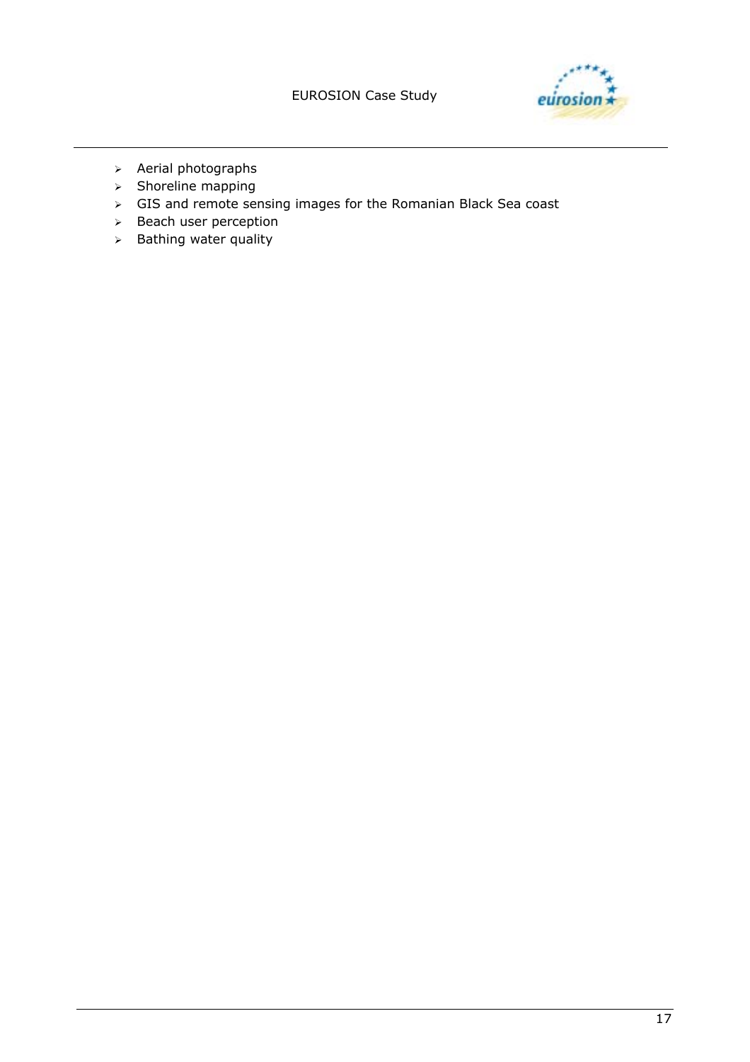

- $\triangleright$  Aerial photographs
- $\triangleright$  Shoreline mapping
- ! GIS and remote sensing images for the Romanian Black Sea coast
- $\geq$  Beach user perception
- $\triangleright$  Bathing water quality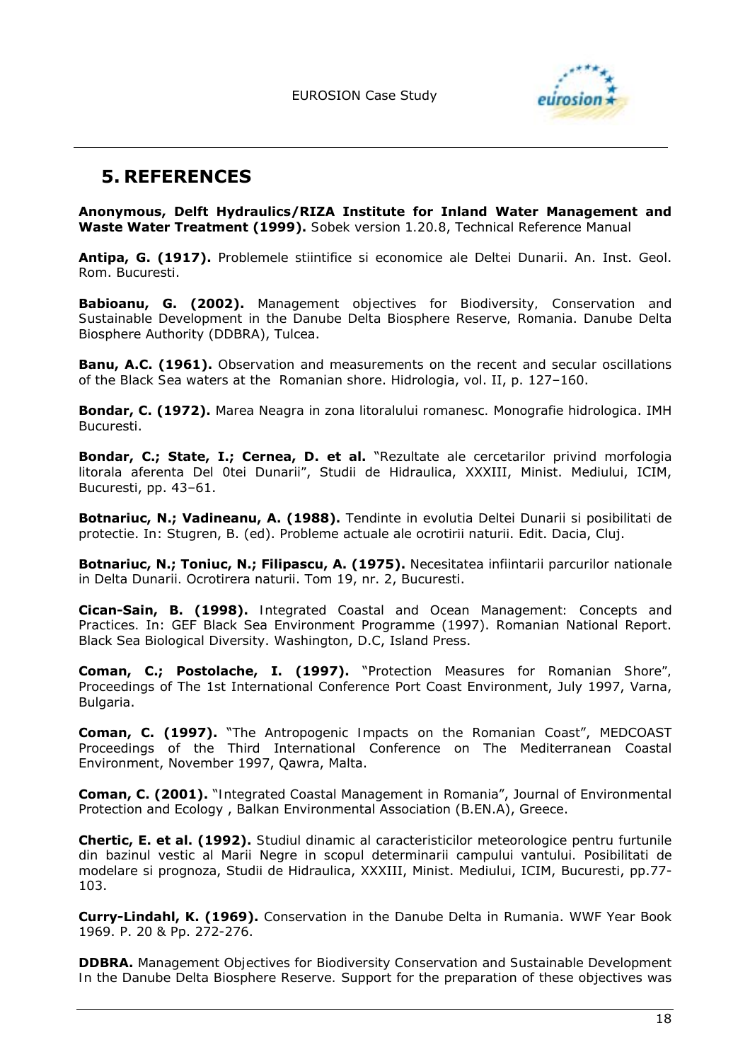

# **5. REFERENCES**

**Anonymous, Delft Hydraulics/RIZA Institute for Inland Water Management and Waste Water Treatment (1999).** *Sobek version 1.20.8*, Technical Reference Manual

**Antipa, G. (1917).** *Problemele stiintifice si economice ale Deltei Dunarii*. An. Inst. Geol. Rom. Bucuresti.

**Babioanu, G. (2002).** *Management objectives for Biodiversity, Conservation and Sustainable Development in the Danube Delta Biosphere Reserve, Romania*. Danube Delta Biosphere Authority (DDBRA), Tulcea.

**Banu, A.C. (1961).** *Observation and measurements on the recent and secular oscillations of the Black Sea waters at the Romanian shore*. Hidrologia, vol. II, p. 127-160.

**Bondar, C. (1972).** *Marea Neagra in zona litoralului romanesc.* Monografie hidrologica. IMH Bucuresti.

**Bondar, C.; State, I.; Cernea, D.** *et al***.** ì*Rezultate ale cercetarilor privind morfologia litorala aferenta Del 0tei Dunarii"*, Studii de Hidraulica, XXXIII, Minist. Mediului, ICIM, Bucuresti, pp. 43-61.

**Botnariuc, N.; Vadineanu, A. (1988).** *Tendinte in evolutia Deltei Dunarii si posibilitati de protectie*. In: Stugren, B. (ed). Probleme actuale ale ocrotirii naturii. Edit. Dacia, Cluj.

**Botnariuc, N.; Toniuc, N.; Filipascu, A. (1975).** *Necesitatea infiintarii parcurilor nationale in Delta Dunarii.* Ocrotirera naturii. Tom 19, nr. 2, Bucuresti.

**Cican-Sain, B. (1998).** *Integrated Coastal and Ocean Management: Concepts and Practices.* In: GEF Black Sea Environment Programme (1997). Romanian National Report. Black Sea Biological Diversity. Washington, D.C, Island Press.

**Coman, C.; Postolache, I. (1997).** ì*Protection Measures for Romanian Shore",* Proceedings of The 1st International Conference Port Coast Environment, July 1997, Varna, Bulgaria.

**Coman, C. (1997).** *"The Antropogenic Impacts on the Romanian Coast"*, MEDCOAST Proceedings of the Third International Conference on The Mediterranean Coastal Environment, November 1997, Qawra, Malta.

**Coman, C. (2001).** ì*Integrated Coastal Management in Romania*î, Journal of Environmental Protection and Ecology , Balkan Environmental Association (B.EN.A), Greece.

**Chertic, E.** *et al***. (1992).** *Studiul dinamic al caracteristicilor meteorologice pentru furtunile din bazinul vestic al Marii Negre in scopul determinarii campului vantului. Posibilitati de modelare si prognoza*, Studii de Hidraulica, XXXIII, Minist. Mediului, ICIM, Bucuresti, pp.77- 103.

**Curry-Lindahl, K. (1969).** *Conservation in the Danube Delta in Rumania*. WWF Year Book 1969. P. 20 & Pp. 272-276.

**DDBRA.** *Management Objectives for Biodiversity Conservation and Sustainable Development In the Danube Delta Biosphere Reserve.* Support for the preparation of these objectives was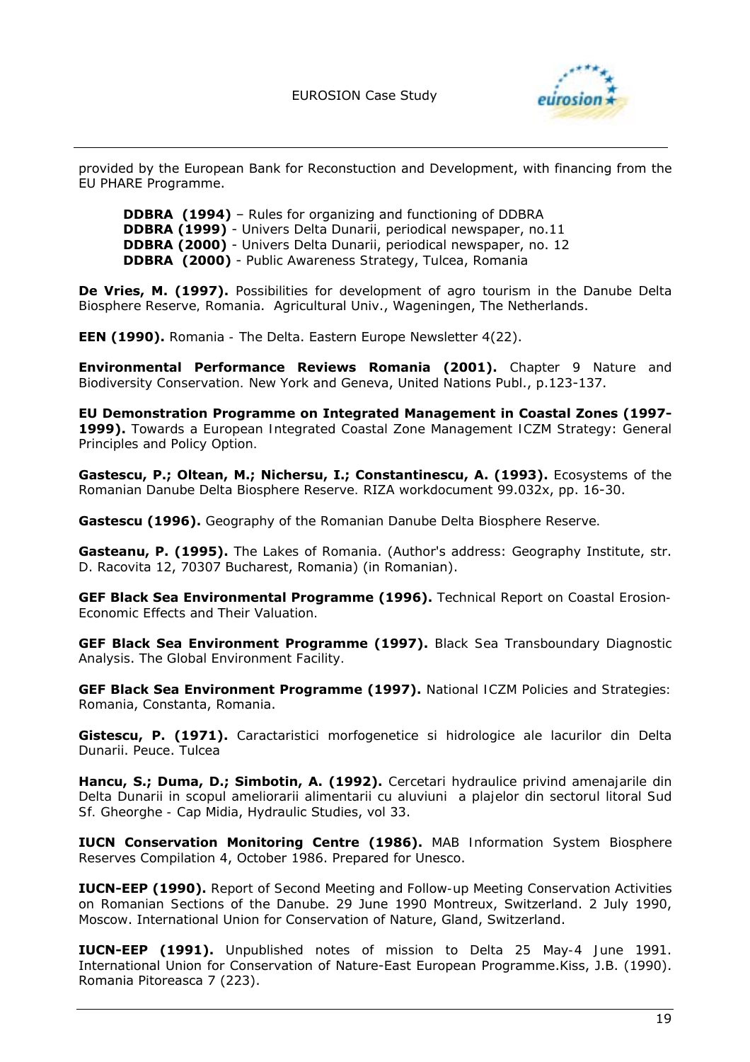

provided by the European Bank for Reconstuction and Development, with financing from the EU PHARE Programme.

**DDBRA (1994)** – Rules for organizing and functioning of DDBRA **DDBRA (1999)** - *Univers Delta Dunarii,* periodical newspaper, no.11 **DDBRA (2000)** - *Univers Delta Dunarii*, periodical newspaper, no. 12 **DDBRA (2000)** - *Public Awareness Strategy*, Tulcea, Romania

**De Vries, M. (1997).** *Possibilities for development of agro tourism in the Danube Delta Biosphere Reserve, Romania*. Agricultural Univ., Wageningen, The Netherlands.

**EEN (1990).** *Romania - The Delta*. Eastern Europe Newsletter 4(22).

**Environmental Performance Reviews Romania (2001).** *Chapter 9 Nature and Biodiversity Conservation.* New York and Geneva, United Nations Publ., p.123-137.

**EU Demonstration Programme on Integrated Management in Coastal Zones (1997- 1999).** *Towards a European Integrated Coastal Zone Management ICZM Strategy*: *General Principles and Policy Option.* 

**Gastescu, P.; Oltean, M.; Nichersu, I.; Constantinescu, A. (1993).** *Ecosystems of the Romanian Danube Delta Biosphere Reserve.* RIZA workdocument 99.032x, pp. 16-30.

**Gastescu (1996).** *Geography of the Romanian Danube Delta Biosphere Reserve.* 

**Gasteanu, P. (1995).** *The Lakes of Romania*. (Author's address: Geography Institute, str. D. Racovita 12, 70307 Bucharest, Romania) (in Romanian).

**GEF Black Sea Environmental Programme (1996).** *Technical Report on Coastal Erosion-Economic Effects and Their Valuation.* 

**GEF Black Sea Environment Programme (1997).** *Black Sea Transboundary Diagnostic Analysis*. *The Global Environment Facility.* 

**GEF Black Sea Environment Programme (1997).** *National ICZM Policies and Strategies: Romania*, Constanta, Romania.

**Gistescu, P. (1971).** *Caractaristici morfogenetice si hidrologice ale lacurilor din Delta Dunarii*. Peuce. Tulcea

**Hancu, S.; Duma, D.; Simbotin, A. (1992).** *Cercetari hydraulice privind amenajarile din Delta Dunarii in scopul ameliorarii alimentarii cu aluviuni a plajelor din sectorul litoral Sud Sf. Gheorghe - Cap Midia*, Hydraulic Studies, vol 33.

**IUCN Conservation Monitoring Centre (1986).** *MAB Information System Biosphere Reserves Compilation 4*, October 1986. Prepared for Unesco.

**IUCN-EEP (1990).** *Report of Second Meeting and Follow-up Meeting Conservation Activities on Romanian Sections of the Danube*. 29 June 1990 Montreux, Switzerland. 2 July 1990, Moscow. International Union for Conservation of Nature, Gland, Switzerland.

**IUCN-EEP (1991).** *Unpublished notes of mission to Delta 25 May-4 June 1991*. International Union for Conservation of Nature-East European Programme.Kiss, J.B. (1990). Romania Pitoreasca 7 (223).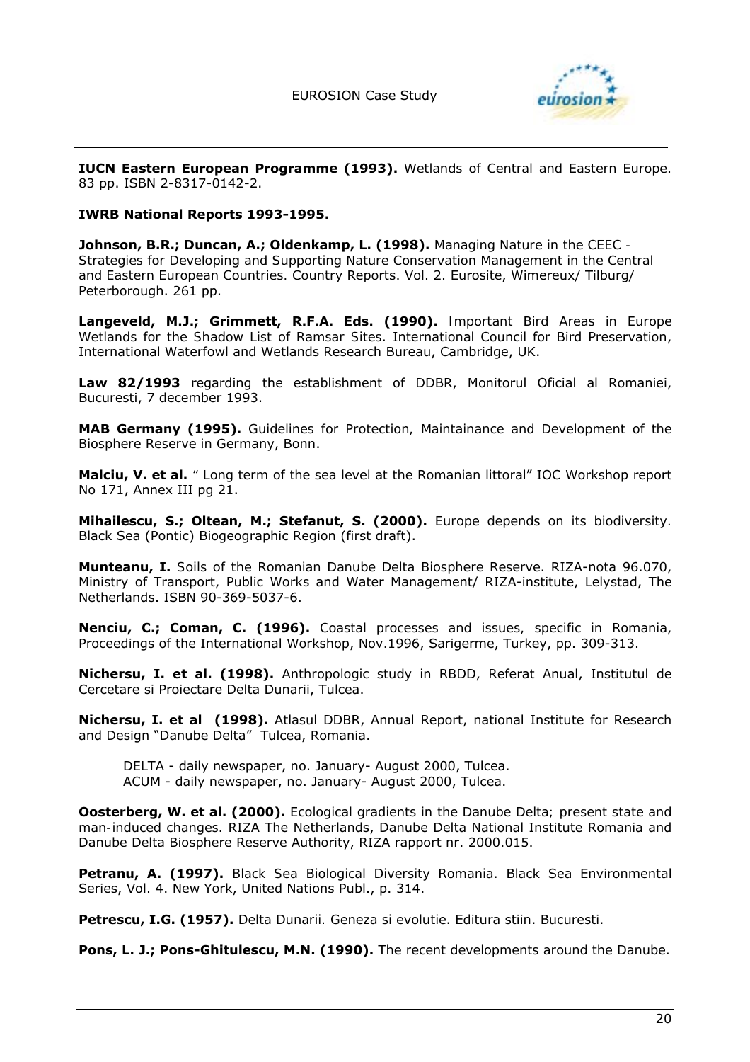

**IUCN Eastern European Programme (1993).** *Wetlands of Central and Eastern Europe*. 83 pp. ISBN 2-8317-0142-2.

#### **IWRB National Reports 1993-1995.**

**Johnson, B.R.; Duncan, A.; Oldenkamp, L. (1998).** *Managing Nature in the CEEC - Strategies for Developing and Supporting Nature Conservation Management in the Central and Eastern European Countries.* Country Reports. Vol. 2. Eurosite, Wimereux/ Tilburg/ Peterborough. 261 pp.

**Langeveld, M.J.; Grimmett, R.F.A.** *Eds.* **(1990).** *Important Bird Areas in Europe Wetlands for the Shadow List of Ramsar Sites*. International Council for Bird Preservation, International Waterfowl and Wetlands Research Bureau, Cambridge, UK.

**Law 82/1993** regarding the establishment of DDBR, Monitorul Oficial al Romaniei, Bucuresti, 7 december 1993.

**MAB Germany (1995).** *Guidelines for Protection, Maintainance and Development of the Biosphere Reserve in Germany*, Bonn.

**Malciu, V.** *et al***.** *" Long term of the sea level at the Romanian littoral*î IOC Workshop report No 171, Annex III pg 21.

**Mihailescu, S.; Oltean, M.; Stefanut, S. (2000).** *Europe depends on its biodiversity.* Black Sea (Pontic) Biogeographic Region (first draft).

**Munteanu, I.** *Soils of the Romanian Danube Delta Biosphere Reserve*. RIZA-nota 96.070, Ministry of Transport, Public Works and Water Management/ RIZA-institute, Lelystad, The Netherlands. ISBN 90-369-5037-6.

**Nenciu, C.; Coman, C. (1996).** *Coastal processes and issues, specific in Romania*, Proceedings of the International Workshop, Nov.1996, Sarigerme, Turkey, pp. 309-313.

**Nichersu, I.** *et al.* **(1998).** *Anthropologic study in RBDD*, Referat Anual, Institutul de Cercetare si Proiectare Delta Dunarii, Tulcea.

**Nichersu, I.** *et al* **(1998).** *Atlasul DDBR*, Annual Report, national Institute for Research and Design "Danube Delta" Tulcea, Romania.

*DELTA* - daily newspaper, no. January- August 2000, Tulcea. *ACUM* - daily newspaper, no. January- August 2000, Tulcea.

**Oosterberg, W.** *et al.* **(2000).** *Ecological gradients in the Danube Delta; present state and man-induced changes.* RIZA The Netherlands, Danube Delta National Institute Romania and Danube Delta Biosphere Reserve Authority, RIZA rapport nr. 2000.015.

**Petranu, A. (1997).** *Black Sea Biological Diversity Romania*. Black Sea Environmental Series, Vol. 4. New York, United Nations Publ., p. 314.

**Petrescu, I.G. (1957).** *Delta Dunarii. Geneza si evolutie*. Editura stiin. Bucuresti.

**Pons, L. J.; Pons-Ghitulescu, M.N. (1990).** *The recent developments around the Danube*.